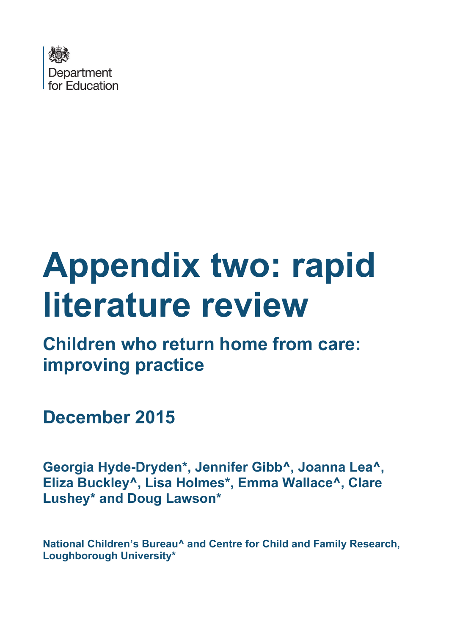

# **Appendix two: rapid literature review**

**Children who return home from care: improving practice**

**December 2015**

**Georgia Hyde-Dryden\*, Jennifer Gibb^, Joanna Lea^, Eliza Buckley^, Lisa Holmes\*, Emma Wallace^, Clare Lushey\* and Doug Lawson\***

**National Children's Bureau^ and Centre for Child and Family Research, Loughborough University\***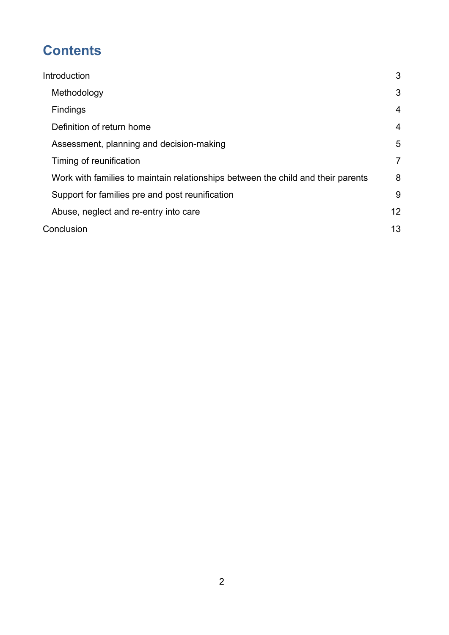## **Contents**

| Introduction                                                                     | 3              |
|----------------------------------------------------------------------------------|----------------|
| Methodology                                                                      | 3              |
| Findings                                                                         | $\overline{4}$ |
| Definition of return home                                                        | 4              |
| Assessment, planning and decision-making                                         | 5              |
| Timing of reunification                                                          | $\overline{7}$ |
| Work with families to maintain relationships between the child and their parents | 8              |
| Support for families pre and post reunification                                  | 9              |
| Abuse, neglect and re-entry into care                                            | 12             |
| Conclusion                                                                       | 13             |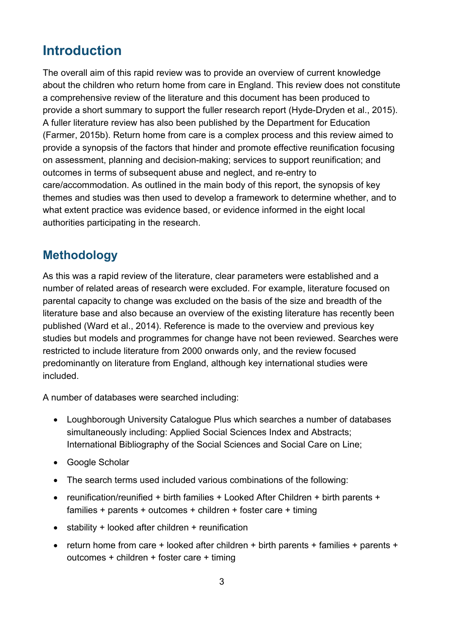## <span id="page-2-0"></span>**Introduction**

The overall aim of this rapid review was to provide an overview of current knowledge about the children who return home from care in England. This review does not constitute a comprehensive review of the literature and this document has been produced to provide a short summary to support the fuller research report (Hyde-Dryden et al., 2015). A fuller literature review has also been published by the Department for Education (Farmer, 2015b). Return home from care is a complex process and this review aimed to provide a synopsis of the factors that hinder and promote effective reunification focusing on assessment, planning and decision-making; services to support reunification; and outcomes in terms of subsequent abuse and neglect, and re-entry to care/accommodation. As outlined in the main body of this report, the synopsis of key themes and studies was then used to develop a framework to determine whether, and to what extent practice was evidence based, or evidence informed in the eight local authorities participating in the research.

## <span id="page-2-1"></span>**Methodology**

As this was a rapid review of the literature, clear parameters were established and a number of related areas of research were excluded. For example, literature focused on parental capacity to change was excluded on the basis of the size and breadth of the literature base and also because an overview of the existing literature has recently been published (Ward et al., 2014). Reference is made to the overview and previous key studies but models and programmes for change have not been reviewed. Searches were restricted to include literature from 2000 onwards only, and the review focused predominantly on literature from England, although key international studies were included.

A number of databases were searched including:

- Loughborough University Catalogue Plus which searches a number of databases simultaneously including: Applied Social Sciences Index and Abstracts; International Bibliography of the Social Sciences and Social Care on Line;
- Google Scholar
- The search terms used included various combinations of the following:
- reunification/reunified + birth families + Looked After Children + birth parents + families + parents + outcomes + children + foster care + timing
- stability + looked after children + reunification
- return home from care + looked after children + birth parents + families + parents + outcomes + children + foster care + timing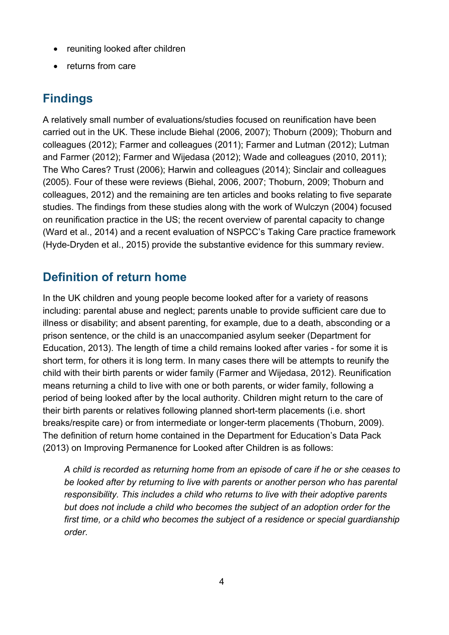- reuniting looked after children
- returns from care

## <span id="page-3-0"></span>**Findings**

A relatively small number of evaluations/studies focused on reunification have been carried out in the UK. These include Biehal (2006, 2007); Thoburn (2009); Thoburn and colleagues (2012); Farmer and colleagues (2011); Farmer and Lutman (2012); Lutman and Farmer (2012); Farmer and Wijedasa (2012); Wade and colleagues (2010, 2011); The Who Cares? Trust (2006); Harwin and colleagues (2014); Sinclair and colleagues (2005). Four of these were reviews (Biehal, 2006, 2007; Thoburn, 2009; Thoburn and colleagues, 2012) and the remaining are ten articles and books relating to five separate studies. The findings from these studies along with the work of Wulczyn (2004) focused on reunification practice in the US; the recent overview of parental capacity to change (Ward et al., 2014) and a recent evaluation of NSPCC's Taking Care practice framework (Hyde-Dryden et al., 2015) provide the substantive evidence for this summary review.

## <span id="page-3-1"></span>**Definition of return home**

In the UK children and young people become looked after for a variety of reasons including: parental abuse and neglect; parents unable to provide sufficient care due to illness or disability; and absent parenting, for example, due to a death, absconding or a prison sentence, or the child is an unaccompanied asylum seeker (Department for Education, 2013). The length of time a child remains looked after varies - for some it is short term, for others it is long term. In many cases there will be attempts to reunify the child with their birth parents or wider family (Farmer and Wijedasa, 2012). Reunification means returning a child to live with one or both parents, or wider family, following a period of being looked after by the local authority. Children might return to the care of their birth parents or relatives following planned short-term placements (i.e. short breaks/respite care) or from intermediate or longer-term placements (Thoburn, 2009). The definition of return home contained in the Department for Education's Data Pack (2013) on Improving Permanence for Looked after Children is as follows:

*A child is recorded as returning home from an episode of care if he or she ceases to*  be looked after by returning to live with parents or another person who has parental *responsibility. This includes a child who returns to live with their adoptive parents but does not include a child who becomes the subject of an adoption order for the first time, or a child who becomes the subject of a residence or special guardianship order.*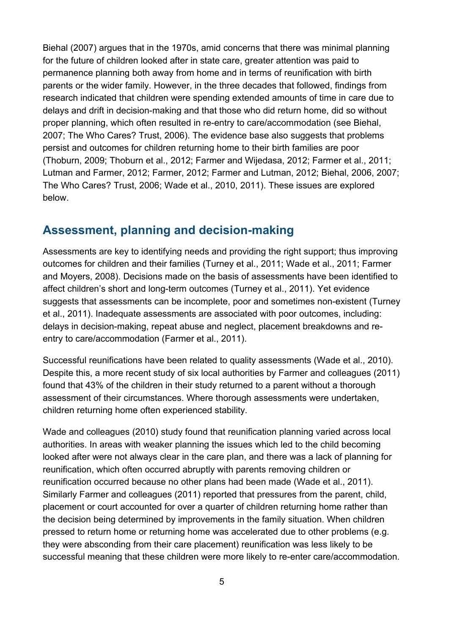Biehal (2007) argues that in the 1970s, amid concerns that there was minimal planning for the future of children looked after in state care, greater attention was paid to permanence planning both away from home and in terms of reunification with birth parents or the wider family. However, in the three decades that followed, findings from research indicated that children were spending extended amounts of time in care due to delays and drift in decision-making and that those who did return home, did so without proper planning, which often resulted in re-entry to care/accommodation (see Biehal, 2007; The Who Cares? Trust, 2006). The evidence base also suggests that problems persist and outcomes for children returning home to their birth families are poor (Thoburn, 2009; Thoburn et al., 2012; Farmer and Wijedasa, 2012; Farmer et al., 2011; Lutman and Farmer, 2012; Farmer, 2012; Farmer and Lutman, 2012; Biehal, 2006, 2007; The Who Cares? Trust, 2006; Wade et al., 2010, 2011). These issues are explored below.

#### <span id="page-4-0"></span>**Assessment, planning and decision-making**

Assessments are key to identifying needs and providing the right support; thus improving outcomes for children and their families (Turney et al., 2011; Wade et al., 2011; Farmer and Moyers, 2008). Decisions made on the basis of assessments have been identified to affect children's short and long-term outcomes (Turney et al., 2011). Yet evidence suggests that assessments can be incomplete, poor and sometimes non-existent (Turney et al., 2011). Inadequate assessments are associated with poor outcomes, including: delays in decision-making, repeat abuse and neglect, placement breakdowns and reentry to care/accommodation (Farmer et al., 2011).

Successful reunifications have been related to quality assessments (Wade et al., 2010). Despite this, a more recent study of six local authorities by Farmer and colleagues (2011) found that 43% of the children in their study returned to a parent without a thorough assessment of their circumstances. Where thorough assessments were undertaken, children returning home often experienced stability.

Wade and colleagues (2010) study found that reunification planning varied across local authorities. In areas with weaker planning the issues which led to the child becoming looked after were not always clear in the care plan, and there was a lack of planning for reunification, which often occurred abruptly with parents removing children or reunification occurred because no other plans had been made (Wade et al., 2011). Similarly Farmer and colleagues (2011) reported that pressures from the parent, child, placement or court accounted for over a quarter of children returning home rather than the decision being determined by improvements in the family situation. When children pressed to return home or returning home was accelerated due to other problems (e.g. they were absconding from their care placement) reunification was less likely to be successful meaning that these children were more likely to re-enter care/accommodation.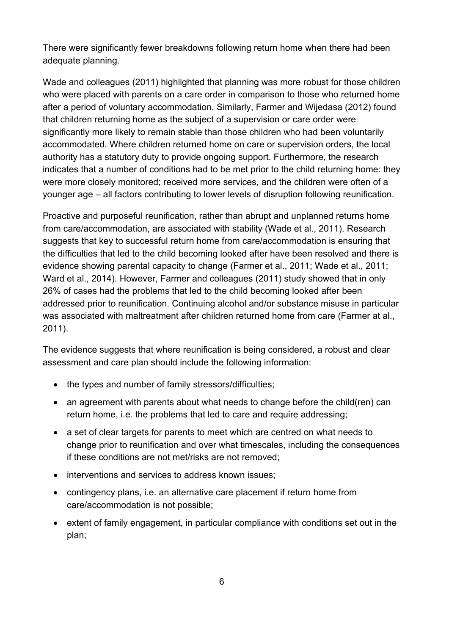There were significantly fewer breakdowns following return home when there had been adequate planning.

Wade and colleagues (2011) highlighted that planning was more robust for those children who were placed with parents on a care order in comparison to those who returned home after a period of voluntary accommodation. Similarly, Farmer and Wijedasa (2012) found that children returning home as the subject of a supervision or care order were significantly more likely to remain stable than those children who had been voluntarily accommodated. Where children returned home on care or supervision orders, the local authority has a statutory duty to provide ongoing support. Furthermore, the research indicates that a number of conditions had to be met prior to the child returning home: they were more closely monitored; received more services, and the children were often of a younger age – all factors contributing to lower levels of disruption following reunification.

Proactive and purposeful reunification, rather than abrupt and unplanned returns home from care/accommodation, are associated with stability (Wade et al., 2011). Research suggests that key to successful return home from care/accommodation is ensuring that the difficulties that led to the child becoming looked after have been resolved and there is evidence showing parental capacity to change (Farmer et al., 2011; Wade et al., 2011; Ward et al., 2014). However, Farmer and colleagues (2011) study showed that in only 26% of cases had the problems that led to the child becoming looked after been addressed prior to reunification. Continuing alcohol and/or substance misuse in particular was associated with maltreatment after children returned home from care (Farmer at al., 2011).

The evidence suggests that where reunification is being considered, a robust and clear assessment and care plan should include the following information:

- the types and number of family stressors/difficulties;
- an agreement with parents about what needs to change before the child(ren) can return home, i.e. the problems that led to care and require addressing;
- a set of clear targets for parents to meet which are centred on what needs to change prior to reunification and over what timescales, including the consequences if these conditions are not met/risks are not removed;
- interventions and services to address known issues;
- contingency plans, i.e. an alternative care placement if return home from care/accommodation is not possible;
- extent of family engagement, in particular compliance with conditions set out in the plan;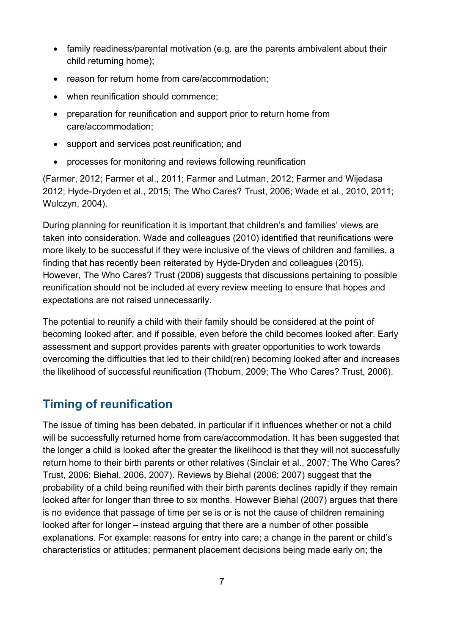- family readiness/parental motivation (e.g. are the parents ambivalent about their child returning home);
- reason for return home from care/accommodation;
- when reunification should commence;
- preparation for reunification and support prior to return home from care/accommodation;
- support and services post reunification; and
- processes for monitoring and reviews following reunification

(Farmer, 2012; Farmer et al., 2011; Farmer and Lutman, 2012; Farmer and Wijedasa 2012; Hyde-Dryden et al., 2015; The Who Cares? Trust, 2006; Wade et al., 2010, 2011; Wulczyn, 2004).

During planning for reunification it is important that children's and families' views are taken into consideration. Wade and colleagues (2010) identified that reunifications were more likely to be successful if they were inclusive of the views of children and families, a finding that has recently been reiterated by Hyde-Dryden and colleagues (2015). However, The Who Cares? Trust (2006) suggests that discussions pertaining to possible reunification should not be included at every review meeting to ensure that hopes and expectations are not raised unnecessarily.

The potential to reunify a child with their family should be considered at the point of becoming looked after, and if possible, even before the child becomes looked after. Early assessment and support provides parents with greater opportunities to work towards overcoming the difficulties that led to their child(ren) becoming looked after and increases the likelihood of successful reunification (Thoburn, 2009; The Who Cares? Trust, 2006).

## <span id="page-6-0"></span>**Timing of reunification**

The issue of timing has been debated, in particular if it influences whether or not a child will be successfully returned home from care/accommodation. It has been suggested that the longer a child is looked after the greater the likelihood is that they will not successfully return home to their birth parents or other relatives (Sinclair et al., 2007; The Who Cares? Trust, 2006; Biehal, 2006, 2007). Reviews by Biehal (2006; 2007) suggest that the probability of a child being reunified with their birth parents declines rapidly if they remain looked after for longer than three to six months. However Biehal (2007) argues that there is no evidence that passage of time per se is or is not the cause of children remaining looked after for longer – instead arguing that there are a number of other possible explanations. For example: reasons for entry into care; a change in the parent or child's characteristics or attitudes; permanent placement decisions being made early on; the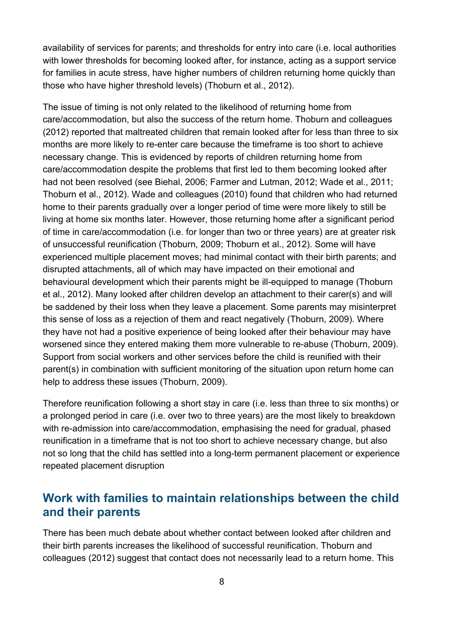availability of services for parents; and thresholds for entry into care (i.e. local authorities with lower thresholds for becoming looked after, for instance, acting as a support service for families in acute stress, have higher numbers of children returning home quickly than those who have higher threshold levels) (Thoburn et al., 2012).

The issue of timing is not only related to the likelihood of returning home from care/accommodation, but also the success of the return home. Thoburn and colleagues (2012) reported that maltreated children that remain looked after for less than three to six months are more likely to re-enter care because the timeframe is too short to achieve necessary change. This is evidenced by reports of children returning home from care/accommodation despite the problems that first led to them becoming looked after had not been resolved (see Biehal, 2006; Farmer and Lutman, 2012; Wade et al., 2011; Thoburn et al., 2012). Wade and colleagues (2010) found that children who had returned home to their parents gradually over a longer period of time were more likely to still be living at home six months later. However, those returning home after a significant period of time in care/accommodation (i.e. for longer than two or three years) are at greater risk of unsuccessful reunification (Thoburn, 2009; Thoburn et al., 2012). Some will have experienced multiple placement moves; had minimal contact with their birth parents; and disrupted attachments, all of which may have impacted on their emotional and behavioural development which their parents might be ill-equipped to manage (Thoburn et al., 2012). Many looked after children develop an attachment to their carer(s) and will be saddened by their loss when they leave a placement. Some parents may misinterpret this sense of loss as a rejection of them and react negatively (Thoburn, 2009). Where they have not had a positive experience of being looked after their behaviour may have worsened since they entered making them more vulnerable to re-abuse (Thoburn, 2009). Support from social workers and other services before the child is reunified with their parent(s) in combination with sufficient monitoring of the situation upon return home can help to address these issues (Thoburn, 2009).

Therefore reunification following a short stay in care (i.e. less than three to six months) or a prolonged period in care (i.e. over two to three years) are the most likely to breakdown with re-admission into care/accommodation, emphasising the need for gradual, phased reunification in a timeframe that is not too short to achieve necessary change, but also not so long that the child has settled into a long-term permanent placement or experience repeated placement disruption

#### <span id="page-7-0"></span>**Work with families to maintain relationships between the child and their parents**

There has been much debate about whether contact between looked after children and their birth parents increases the likelihood of successful reunification. Thoburn and colleagues (2012) suggest that contact does not necessarily lead to a return home. This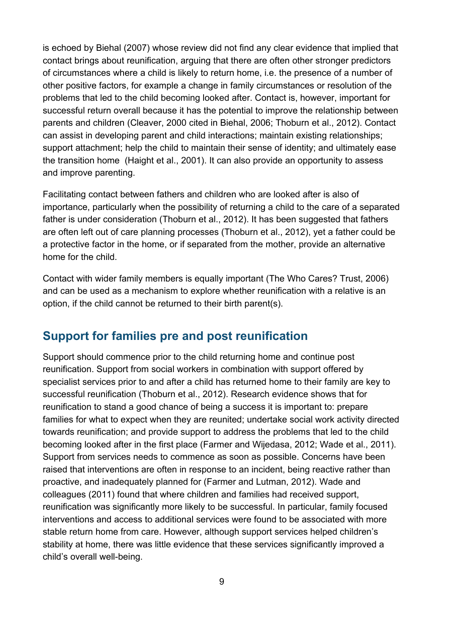is echoed by Biehal (2007) whose review did not find any clear evidence that implied that contact brings about reunification, arguing that there are often other stronger predictors of circumstances where a child is likely to return home, i.e. the presence of a number of other positive factors, for example a change in family circumstances or resolution of the problems that led to the child becoming looked after. Contact is, however, important for successful return overall because it has the potential to improve the relationship between parents and children (Cleaver, 2000 cited in Biehal, 2006; Thoburn et al., 2012). Contact can assist in developing parent and child interactions; maintain existing relationships; support attachment; help the child to maintain their sense of identity; and ultimately ease the transition home (Haight et al., 2001). It can also provide an opportunity to assess and improve parenting.

Facilitating contact between fathers and children who are looked after is also of importance, particularly when the possibility of returning a child to the care of a separated father is under consideration (Thoburn et al., 2012). It has been suggested that fathers are often left out of care planning processes (Thoburn et al., 2012), yet a father could be a protective factor in the home, or if separated from the mother, provide an alternative home for the child.

Contact with wider family members is equally important (The Who Cares? Trust, 2006) and can be used as a mechanism to explore whether reunification with a relative is an option, if the child cannot be returned to their birth parent(s).

#### <span id="page-8-0"></span>**Support for families pre and post reunification**

Support should commence prior to the child returning home and continue post reunification. Support from social workers in combination with support offered by specialist services prior to and after a child has returned home to their family are key to successful reunification (Thoburn et al., 2012). Research evidence shows that for reunification to stand a good chance of being a success it is important to: prepare families for what to expect when they are reunited; undertake social work activity directed towards reunification; and provide support to address the problems that led to the child becoming looked after in the first place (Farmer and Wijedasa, 2012; Wade et al., 2011). Support from services needs to commence as soon as possible. Concerns have been raised that interventions are often in response to an incident, being reactive rather than proactive, and inadequately planned for (Farmer and Lutman, 2012). Wade and colleagues (2011) found that where children and families had received support, reunification was significantly more likely to be successful. In particular, family focused interventions and access to additional services were found to be associated with more stable return home from care. However, although support services helped children's stability at home, there was little evidence that these services significantly improved a child's overall well-being.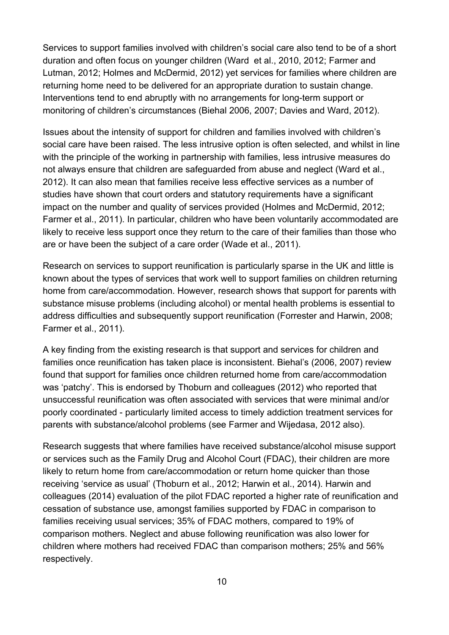Services to support families involved with children's social care also tend to be of a short duration and often focus on younger children (Ward et al., 2010, 2012; Farmer and Lutman, 2012; Holmes and McDermid, 2012) yet services for families where children are returning home need to be delivered for an appropriate duration to sustain change. Interventions tend to end abruptly with no arrangements for long-term support or monitoring of children's circumstances (Biehal 2006, 2007; Davies and Ward, 2012).

Issues about the intensity of support for children and families involved with children's social care have been raised. The less intrusive option is often selected, and whilst in line with the principle of the working in partnership with families, less intrusive measures do not always ensure that children are safeguarded from abuse and neglect (Ward et al., 2012). It can also mean that families receive less effective services as a number of studies have shown that court orders and statutory requirements have a significant impact on the number and quality of services provided (Holmes and McDermid, 2012; Farmer et al., 2011). In particular, children who have been voluntarily accommodated are likely to receive less support once they return to the care of their families than those who are or have been the subject of a care order (Wade et al., 2011).

Research on services to support reunification is particularly sparse in the UK and little is known about the types of services that work well to support families on children returning home from care/accommodation. However, research shows that support for parents with substance misuse problems (including alcohol) or mental health problems is essential to address difficulties and subsequently support reunification (Forrester and Harwin, 2008; Farmer et al., 2011).

A key finding from the existing research is that support and services for children and families once reunification has taken place is inconsistent. Biehal's (2006, 2007) review found that support for families once children returned home from care/accommodation was 'patchy'. This is endorsed by Thoburn and colleagues (2012) who reported that unsuccessful reunification was often associated with services that were minimal and/or poorly coordinated - particularly limited access to timely addiction treatment services for parents with substance/alcohol problems (see Farmer and Wijedasa, 2012 also).

Research suggests that where families have received substance/alcohol misuse support or services such as the Family Drug and Alcohol Court (FDAC), their children are more likely to return home from care/accommodation or return home quicker than those receiving 'service as usual' (Thoburn et al., 2012; Harwin et al., 2014). Harwin and colleagues (2014) evaluation of the pilot FDAC reported a higher rate of reunification and cessation of substance use, amongst families supported by FDAC in comparison to families receiving usual services; 35% of FDAC mothers, compared to 19% of comparison mothers. Neglect and abuse following reunification was also lower for children where mothers had received FDAC than comparison mothers; 25% and 56% respectively.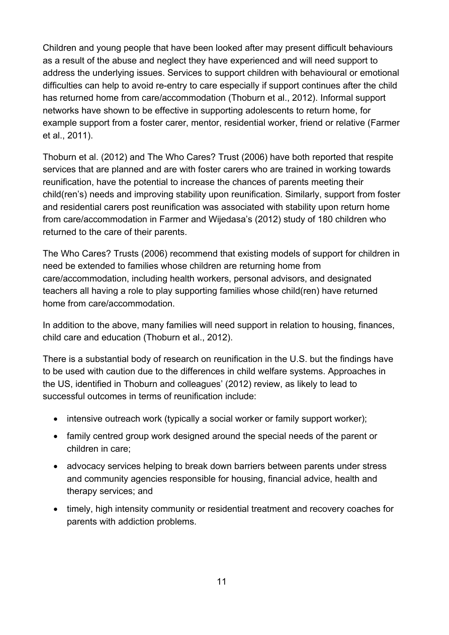Children and young people that have been looked after may present difficult behaviours as a result of the abuse and neglect they have experienced and will need support to address the underlying issues. Services to support children with behavioural or emotional difficulties can help to avoid re-entry to care especially if support continues after the child has returned home from care/accommodation (Thoburn et al., 2012). Informal support networks have shown to be effective in supporting adolescents to return home, for example support from a foster carer, mentor, residential worker, friend or relative (Farmer et al., 2011).

Thoburn et al. (2012) and The Who Cares? Trust (2006) have both reported that respite services that are planned and are with foster carers who are trained in working towards reunification, have the potential to increase the chances of parents meeting their child(ren's) needs and improving stability upon reunification. Similarly, support from foster and residential carers post reunification was associated with stability upon return home from care/accommodation in Farmer and Wijedasa's (2012) study of 180 children who returned to the care of their parents.

The Who Cares? Trusts (2006) recommend that existing models of support for children in need be extended to families whose children are returning home from care/accommodation, including health workers, personal advisors, and designated teachers all having a role to play supporting families whose child(ren) have returned home from care/accommodation.

In addition to the above, many families will need support in relation to housing, finances, child care and education (Thoburn et al., 2012).

There is a substantial body of research on reunification in the U.S. but the findings have to be used with caution due to the differences in child welfare systems. Approaches in the US, identified in Thoburn and colleagues' (2012) review, as likely to lead to successful outcomes in terms of reunification include:

- intensive outreach work (typically a social worker or family support worker);
- family centred group work designed around the special needs of the parent or children in care;
- advocacy services helping to break down barriers between parents under stress and community agencies responsible for housing, financial advice, health and therapy services; and
- timely, high intensity community or residential treatment and recovery coaches for parents with addiction problems.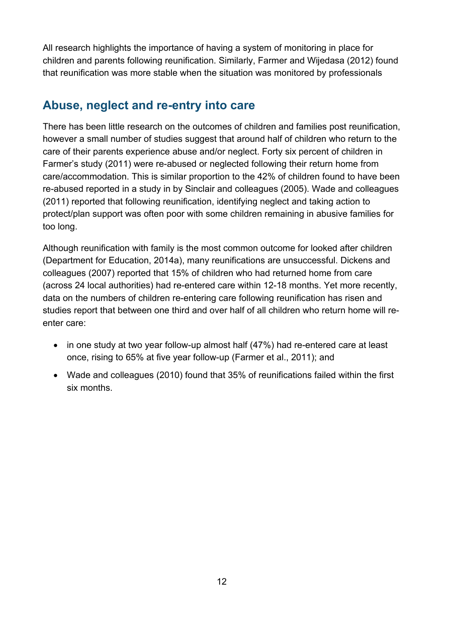All research highlights the importance of having a system of monitoring in place for children and parents following reunification. Similarly, Farmer and Wijedasa (2012) found that reunification was more stable when the situation was monitored by professionals

### <span id="page-11-0"></span>**Abuse, neglect and re-entry into care**

There has been little research on the outcomes of children and families post reunification, however a small number of studies suggest that around half of children who return to the care of their parents experience abuse and/or neglect. Forty six percent of children in Farmer's study (2011) were re-abused or neglected following their return home from care/accommodation. This is similar proportion to the 42% of children found to have been re-abused reported in a study in by Sinclair and colleagues (2005). Wade and colleagues (2011) reported that following reunification, identifying neglect and taking action to protect/plan support was often poor with some children remaining in abusive families for too long.

Although reunification with family is the most common outcome for looked after children (Department for Education, 2014a), many reunifications are unsuccessful. Dickens and colleagues (2007) reported that 15% of children who had returned home from care (across 24 local authorities) had re-entered care within 12-18 months. Yet more recently, data on the numbers of children re-entering care following reunification has risen and studies report that between one third and over half of all children who return home will reenter care:

- in one study at two year follow-up almost half (47%) had re-entered care at least once, rising to 65% at five year follow-up (Farmer et al., 2011); and
- Wade and colleagues (2010) found that 35% of reunifications failed within the first six months.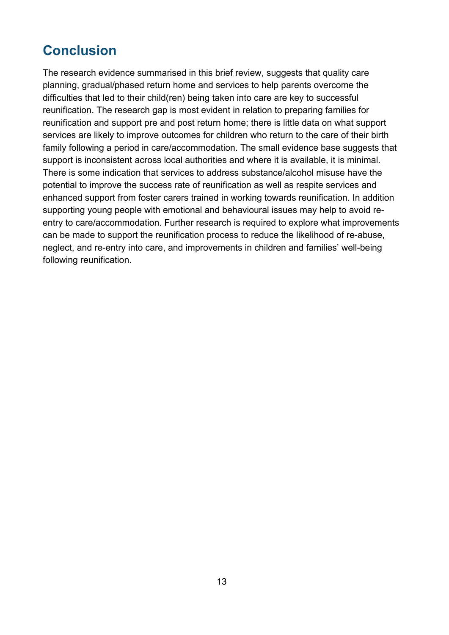## <span id="page-12-0"></span>**Conclusion**

The research evidence summarised in this brief review, suggests that quality care planning, gradual/phased return home and services to help parents overcome the difficulties that led to their child(ren) being taken into care are key to successful reunification. The research gap is most evident in relation to preparing families for reunification and support pre and post return home; there is little data on what support services are likely to improve outcomes for children who return to the care of their birth family following a period in care/accommodation. The small evidence base suggests that support is inconsistent across local authorities and where it is available, it is minimal. There is some indication that services to address substance/alcohol misuse have the potential to improve the success rate of reunification as well as respite services and enhanced support from foster carers trained in working towards reunification. In addition supporting young people with emotional and behavioural issues may help to avoid reentry to care/accommodation. Further research is required to explore what improvements can be made to support the reunification process to reduce the likelihood of re-abuse, neglect, and re-entry into care, and improvements in children and families' well-being following reunification.